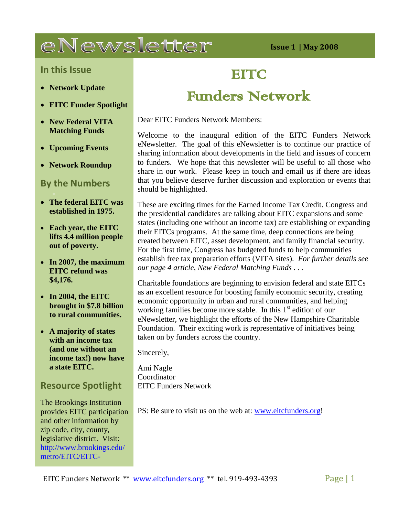# eNewsletter

**Issue 1 | May 2008**

## **In this Issue**

- **Network Update**
- **EITC Funder Spotlight**
- **New Federal VITA Matching Funds**
- **Upcoming Events**
- **Network Roundup**

# **By the Numbers**

- **The federal EITC was established in 1975.**
- **Each year, the EITC lifts 4.4 million people out of poverty.**
- **In 2007, the maximum EITC refund was \$4,176.**
- **In 2004, the EITC brought in \$7.8 billion to rural communities.**
- **A majority of states with an income tax (and one without an income tax!) now have a state EITC.**

## **Resource Spotlight**

The Brookings Institution provides EITC participation and other information by zip code, city, county, legislative district. Visit: [http://www.brookings.edu/](http://www.brookings.edu/metro/EITC/EITC-Data.aspx) [metro/EITC/EITC-](http://www.brookings.edu/metro/EITC/EITC-Data.aspx)

# **EITC**

# Funders Network

Dear EITC Funders Network Members:

Welcome to the inaugural edition of the EITC Funders Network eNewsletter. The goal of this eNewsletter is to continue our practice of sharing information about developments in the field and issues of concern to funders. We hope that this newsletter will be useful to all those who share in our work. Please keep in touch and email us if there are ideas that you believe deserve further discussion and exploration or events that should be highlighted.

These are exciting times for the Earned Income Tax Credit. Congress and the presidential candidates are talking about EITC expansions and some states (including one without an income tax) are establishing or expanding their EITCs programs. At the same time, deep connections are being created between EITC, asset development, and family financial security. For the first time, Congress has budgeted funds to help communities establish free tax preparation efforts (VITA sites). *For further details see our page 4 article, New Federal Matching Funds . . .*

Charitable foundations are beginning to envision federal and state EITCs as an excellent resource for boosting family economic security, creating economic opportunity in urban and rural communities, and helping working families become more stable. In this 1<sup>st</sup> edition of our eNewsletter, we highlight the efforts of the New Hampshire Charitable Foundation. Their exciting work is representative of initiatives being taken on by funders across the country.

Sincerely,

Ami Nagle Coordinator EITC Funders Network

PS: Be sure to visit us on the web at: [www.eitcfunders.org!](http://www.eitcfunders.org/)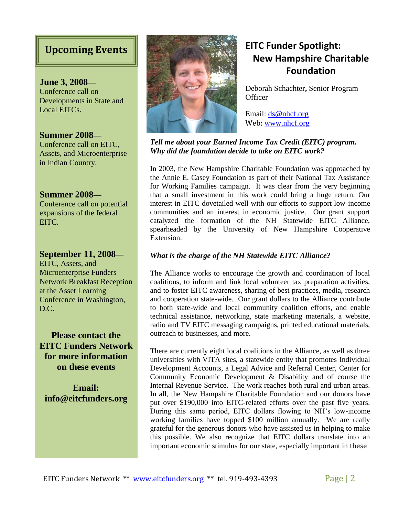**June 3, 2008—** Conference call on Developments in State and Local EITCs.

**Summer 2008—** Conference call on EITC, Assets, and Microenterprise in Indian Country.

## **Summer 2008—**

Conference call on potential expansions of the federal EITC.

**September 11, 2008—** EITC, Assets, and Microenterprise Funders Network Breakfast Reception at the Asset Learning Conference in Washington, D.C.

**Please contact the EITC Funders Network for more information on these events**

**Email: info@eitcfunders.org**



# **New Hampshire Charitable Foundation**

Deborah Schachter**,** Senior Program **Officer** 

Email: [ds@nhcf.org](mailto:ds@nhcf.org) Web: [www.nhcf.org](http://www.nhcf.org/)

*Tell me about your Earned Income Tax Credit (EITC) program. Why did the foundation decide to take on EITC work?* 

In 2003, the New Hampshire Charitable Foundation was approached by the Annie E. Casey Foundation as part of their National Tax Assistance for Working Families campaign. It was clear from the very beginning that a small investment in this work could bring a huge return. Our interest in EITC dovetailed well with our efforts to support low-income communities and an interest in economic justice. Our grant support catalyzed the formation of the NH Statewide EITC Alliance, spearheaded by the University of New Hampshire Cooperative Extension.

#### *What is the charge of the NH Statewide EITC Alliance?*

The Alliance works to encourage the growth and coordination of local coalitions, to inform and link local volunteer tax preparation activities, and to foster EITC awareness, sharing of best practices, media, research and cooperation state-wide. Our grant dollars to the Alliance contribute to both state-wide and local community coalition efforts, and enable technical assistance, networking, state marketing materials, a website, radio and TV EITC messaging campaigns, printed educational materials, outreach to businesses, and more.

There are currently eight local coalitions in the Alliance, as well as three universities with VITA sites, a statewide entity that promotes Individual Development Accounts, a Legal Advice and Referral Center, Center for Community Economic Development & Disability and of course the Internal Revenue Service. The work reaches both rural and urban areas. In all, the New Hampshire Charitable Foundation and our donors have put over \$190,000 into EITC-related efforts over the past five years. During this same period, EITC dollars flowing to NH's low-income working families have topped \$100 million annually. We are really grateful for the generous donors who have assisted us in helping to make this possible. We also recognize that EITC dollars translate into an important economic stimulus for our state, especially important in these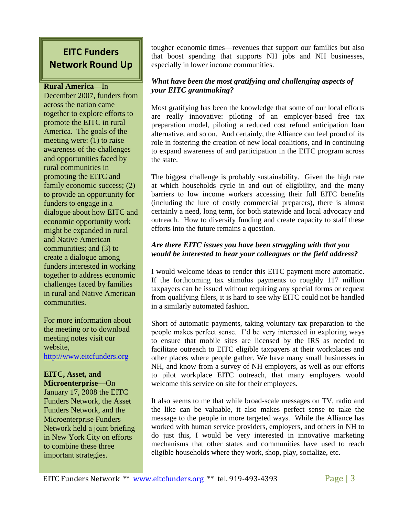# **EITC Funders Network Round Up**

#### **Rural America—**In

December 2007, funders from across the nation came together to explore efforts to promote the EITC in rural America. The goals of the meeting were: (1) to raise awareness of the challenges and opportunities faced by rural communities in promoting the EITC and family economic success; (2) to provide an opportunity for funders to engage in a dialogue about how EITC and economic opportunity work might be expanded in rural and Native American communities; and (3) to create a dialogue among funders interested in working together to address economic challenges faced by families in rural and Native American communities.

For more information about the meeting or to download meeting notes visit our website, [http://www.eitcfunders.org](http://www.eitcfunders.org/) 

# **EITC, Asset, and**

**Microenterprise—**On January 17, 2008 the EITC Funders Network, the Asset Funders Network, and the Microenterprise Funders Network held a joint briefing in New York City on efforts to combine these three important strategies.

tougher economic times—revenues that support our families but also that boost spending that supports NH jobs and NH businesses, especially in lower income communities.

## *What have been the most gratifying and challenging aspects of your EITC grantmaking?*

Most gratifying has been the knowledge that some of our local efforts are really innovative: piloting of an employer-based free tax preparation model, piloting a reduced cost refund anticipation loan alternative, and so on. And certainly, the Alliance can feel proud of its role in fostering the creation of new local coalitions, and in continuing to expand awareness of and participation in the EITC program across the state.

The biggest challenge is probably sustainability. Given the high rate at which households cycle in and out of eligibility, and the many barriers to low income workers accessing their full EITC benefits (including the lure of costly commercial preparers), there is almost certainly a need, long term, for both statewide and local advocacy and outreach. How to diversify funding and create capacity to staff these efforts into the future remains a question.

## *Are there EITC issues you have been struggling with that you would be interested to hear your colleagues or the field address?*

I would welcome ideas to render this EITC payment more automatic. If the forthcoming tax stimulus payments to roughly 117 million taxpayers can be issued without requiring any special forms or request from qualifying filers, it is hard to see why EITC could not be handled in a similarly automated fashion.

Short of automatic payments, taking voluntary tax preparation to the people makes perfect sense. I'd be very interested in exploring ways to ensure that mobile sites are licensed by the IRS as needed to facilitate outreach to EITC eligible taxpayers at their workplaces and other places where people gather. We have many small businesses in NH, and know from a survey of NH employers, as well as our efforts to pilot workplace EITC outreach, that many employers would welcome this service on site for their employees.

It also seems to me that while broad-scale messages on TV, radio and the like can be valuable, it also makes perfect sense to take the message to the people in more targeted ways. While the Alliance has worked with human service providers, employers, and others in NH to do just this, I would be very interested in innovative marketing mechanisms that other states and communities have used to reach eligible households where they work, shop, play, socialize, etc.